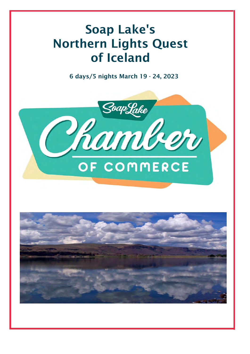# Soap Lake's Northern Lights Quest of Iceland

6 days/5 nights March 19 - 24, 2023



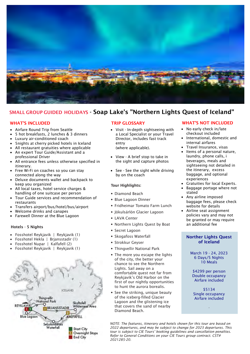

# SMALL GROUP GUIDED HOLIDAYS - Soap Lake's "Northern Lights Quest of Iceland"

- Airfare Round Trip from Seattle
- 5 hot breakfasts, 2 lunches & 3 dinners
- Luxury air-conditioned coach
- 5nights at cherry picked hotels in Iceland
- All restaurant gratuities where applicable
- An expert Tour Guide/Assistant and a professional Driver
- All entrance fees unless otherwise specified in itinerary.
- Free Wi-Fi on coaches so you can stay connected along the way
- Deluxe documents wallet and backpack to keep you organized
- All local taxes, hotel service charges & handling of one suitcase per person
- Tour Guide services and recommendation of restaurants
- Transfers airport/bus/hotel/bus/airport
- Welcome drinks and canapes
- Farewell Dinner at the Blue Lagoon

# Hotels - 5 Nights

- Fosshotel Reykjavik | Reykjavik (1)
- Fosshotel Hekla | Brjansstadir (1)
- Fosshotel Nupar | Kalfafell (2)
- Fosshotel Reykjavik | Reykjavik (1)



• Visit - In-depth sightseeing with a Local Specialist or your Travel Director, includes fast track entry (where applicable).

• View - A brief stop to take in

- the sight and capture photos
- See See the sight while driving by on the coach

# Tour Highlights:

- Diamond Beach
- Blue Lagoon Dinner
- Fridheimar Tomato Farm Lunch
- Jökulsárlón Glacier Lagoon
- LAVA Center
- Northern Lights Quest by Boat
- Secret Lagoon
- Skogafoss Waterfall
- Strokkur Geyser
- Thingvellir National Park
- The more you escape the lights of the city, the better your chance to see the Northern Lights. Sail away on a comfortable quest not far from Reykjavik's Old Harbor on the first of our nightly opportunities to hunt the aurora borealis.
- See the striking, unique beauty of the iceberg-filled Glacier Lagoon and the glistening ice that covers the sand of nearby Diamond Beach.

# WHAT'S INCLUDED TRIP GLOSSARY WHAT'S NOT INCLUDED

- No early check in/late checkout included
- International, domestic and internal airfares
- Travel Insurance, visas
- Items of a personal nature, laundry, phone calls, i beverages, meals and sightseeing not detailed in the itinerary, excess baggage, and optional experiences
- Gratuities for local Experts.
- Baggage portage where not stated
- Any airline imposed baggage fees, please check website for details
- Airline seat assignment policies vary and may not be granted or may require an additional fee

# Norther Lights Quest of Iceland

March 19 - 24, 2023 6 Days/5 Nights 10 Meals

\$4299 per person Double occupancy Airfare included

\$5134 Single occupancy Airfare included

*.*

*NOTE: The features, itinerary and hotels shown for this tour are based on 2022 departures, and may be subject to change for 2023 departures. This tour is subject to CIE Tours' booking guidelines and cancellation penalties. Refer to General Conditions on your CIE Tours group contract. CST# 2021285-20.*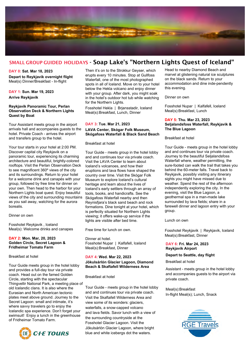

# SMALL GROUP GUIDED HOLIDAYS - Soap Lake's "Northern Lights Quest of Iceland"

**DAY 0: Sat. Mar 18, 2023**

**Depart to Reykjavik overnight flight** Meal(s) Dinner/Breakfast - In-flight

**DAY 1: Sun. Mar 19, 2023 Arrive Reykjavik**

# **Reykjavik Panoramic Tour, Perlan Observation Deck & Northern Lights Quest by Boat**

Tour Assistant meets group in the airport arrivals hall and accompanies guests to the hotel. Private Coach - arrives the airport and transfers group to the hotel.

Your tour starts in your hotel at 2:00 PM. Discover capital city Reykjavik on a panoramic tour, experiencing its charming architecture and beautiful, brightly-colored rooftops. Visit the Perlan Observation Deck to see magnificent 360º views of the city and its surroundings. Return to your hotel for a welcome drink and canapés with your group, followed by free time for dinner on your own. Then head to the harbor for your Northern Lights boat quest. Enjoy beautiful views of the city and surrounding mountains as you sail away, watching for the aurora borealis.

# Dinner on own

Fosshotel Reykjavik , Iceland Meal(s): Welcome drinks and canapes

### **DAY 2: Mon. Mar, 20, 2023 Golden Circle, Secret Lagoon & Fridheimar Tomato Farm**

#### Breakfast at hotel

Tour Guide meets group in the hotel lobby and provides a full-day tour via private coach. Head out on the famed Golden Circle, starting with the spectacular Thingvellir National Park, a meeting place of old Icelandic clans. It is also where the Eurasian and North American tectonic plates meet above ground. Journey to the Secret Lagoon: small and intimate, it's where savvy travelers go to enjoy the Icelandic spa experience. Don't forget your swimsuit! Enjoy a lunch in the greenhouse of Fridheimar Tomato Farm.



Then it's on to the Strokkur Geyser, which erupts every 10 minutes. Stop at Gullfoss Waterfall, one of the most photographed spots in all of Iceland. Move on to your hotel below the Hekla volcano and enjoy dinner with your group. After dark, you might soak in the hotel's outdoor hot tub while watching for the Northern Lights.

Fosshotel Hekla | Brjansstadir, Iceland Meal(s):Breakfast, Lunch, Dinner

# **DAY 3: Tue. Mar 21, 2023 LAVA Center, Skógar Folk Museum, Skógafoss Waterfall & Black Sand Beach**

#### Breakfast at hotel

Tour Guide - meets group in the hotel lobby and and continues tour via private coach. Visit the LAVA Center to learn about Iceland's volcanoes, and how their eruptions and lava flows have shaped the country over time. Visit the Skógar Folk Museum to explore Iceland's cultural heritage and learn about the lives of Iceland's early settlers through an array of tools, books, and handicrafts. See the Skógafoss Waterfall nearby and then Reynisfjara's black sand beach and rock formations. Dine tonight at your hotel, which is perfectly situated for Northern Lights viewing; it offers wake-up service if the lights are visible after bed time.

Free time for lunch on own.

Dinner at hotel. Fosshotel Nupar | Kalfafell, Iceland Meal(s):Breakfast, Dinner

## **DAY 4: Wed. Mar 22, 2023 Jökulsárlón Glacier Lagoon, Diamond Beach & Skaftafell Wilderness Area**

#### Breakfast at hotel

Tour Guide - meets group in the hotel lobby and and continues tour via private coach. Visit the Skaftafell Wilderness Area and view some of its wonders: glaciers, waterfalls, a snow-capped volcano and lava fields. Savor lunch with a view of the surrounding countryside at the Fosshotel Glacier Lagoon. Visit the Jökulsárlón Glacier Lagoon, where bright blue and white icebergs dot the waters.

Head to nearby Diamond Beach and marvel at glistening natural ice sculptures on the black sands. Return to your accommodation and dine inde-pendently this evening.

Dinner on own

Fosshotel Nupar | Kalfafell, Iceland Meal(s):Breakfast, Lunch

### **DAY 5: Thu. Mar 23, 2023 Seljalandsfoss Waterfall, Reykjavik & The Blue Lagoon**

### Breakfast at hotel

Tour Guide - meets group in the hotel lobby and and continues tour via private coach. Journey to the beautiful Seljalandsfoss Waterfall where, weather permitting, the sure-footed can walk the trail that takes you behind the 60-meter falls. Travel back to Reykjavik, possibly visiting any itinerary sights you might have missed due to weather. Spend the rest of the afternoon independently exploring the city. In the evening, visit the Blue Lagoon, a geothermal spa in a man-made lake surrounded by lava fields; share in a farewell dinner and lagoon entry with your group.

### Lunch on own

Fosshotel Reykjavik | Reykjavik, Iceland Meal(s):Breakfast, Dinner

# **DAY 6: Fri. Mar 24, 2023 Reykjavik Airport**

### **Depart to Seattle, day flight**

Breakfast at hotel

Assistant - meets group in the hotel lobby and accompanies guests to the airport via private coach.

Meal(s):Breakfast In-flight Meal(s); Lunch, Snack

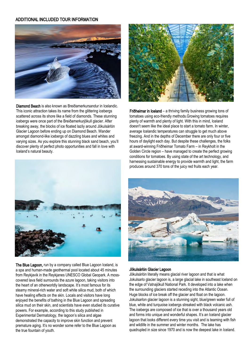# ADDITIONAL INCLUDED TOUR INFORMATION



Diamond Beach is also known as Breiðamerkursandur in Icelandic. This iconic attraction takes its name from the glittering icebergs scattered across its shore like a field of diamonds. These stunning icebergs were once part of the Breiðamerkurjökull glacier. After breaking away, the blocks of ice floated lazily around Jökulsárlón Glacier Lagoon before ending up on Diamond Beach. Wander amongst diamond-like icebergs of dazzling blues and whites and varying sizes. As you explore this stunning black sand beach, you'll discover plenty of perfect photo opportunities and fall in love with Iceland's natural beauty.



Friðheimar in Iceland – a thriving family business growing tons of tomatoes using eco-friendly methods.Growing tomatoes requires plenty of warmth and plenty of light. With this in mind, Iceland doesn't seem like the ideal place to start a tomato farm. In winter, average Icelandic temperatures can struggle to get much above freezing. And in the depths of December there are only four or five hours of daylight each day. But despite these challenges, the folks at award-winning Friðheimar Tomato Farm – in Reykholt in the Golden Circle region – have managed to create the perfect growing conditions for tomatoes. By using state of the art technology, and harnessing sustainable energy to provide warmth and light, the farm produces around 370 tons of the juicy red fruits each year.



The Blue Lagoon, run by a company called Blue Lagoon Iceland, is a spa and human-made geothermal pool located about 45 minutes from Reykjavik in the Reykjanes UNESCO Global Geopark. A mosscovered lava field surrounds the azure lagoon, taking visitors into the heart of an otherworldly landscape. It's most famous for its steamy mineral-rich water and soft white silica mud, both of which have healing effects on the skin. Locals and visitors have long enjoyed the benefits of bathing in the Blue Lagoon and spreading silica mud on their skin, and scientists have even studied its curative powers. For example, according to this study published in Experimental Dermatology, the lagoon's silica and algae demonstrated the capacity to improve skin function and prevent premature aging. It's no wonder some refer to the Blue Lagoon as the true fountain of youth.



# Jökulsárlón Glacier Lagoon

Jökulsárlón literally means glacial river lagoon and that is what Jokulsarlo glacier lagoon is, a large glacial lake in southeast Iceland on the edge of Vatnajökull National Park. It developed into a lake when the surrounding glaciers started receding into the Atlantic Ocean. Huge blocks of ice break off the glacier and float on the lagoon. Jokulsarlon glacier lagoon is a stunning sight, blue/green water full of blue, white and turquoise icebergs streaked with black volcanic ash. The icebergs are composed of ice that is over a thousand years old and forms into unique and wonderful shapes. It's an Iceland glacier lagoon that looks different every time you visit and is teaming with fish and wildlife in the summer and winter months. The lake has quadrupled in size since 1970 and is now the deepest lake in Iceland.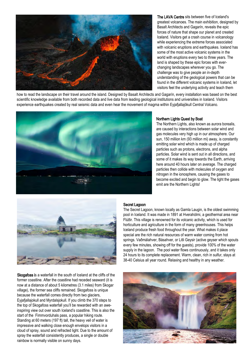

The LAVA Centre sits between five of Iceland's greatest volcanoes. The main exhibition, designed by Basalt Architects and Gagarín, reveals the epic forces of nature that shape our planet and created Iceland. Visitors get a crash course in volcanology while experiencing the extreme forces associated with volcanic eruptions and earthquakes. Iceland has some of the most active volcanic systems in the world with eruptions every two to three years. The land is shaped by these epic forces with everchanging landscapes wherever you go. The challenge was to give people an in-depth understanding of the geological powers that can be found in the different volcanic systems in Iceland, let visitors feel the underlying activity and teach them

how to read the landscape on their travel around the island. Designed by Basalt Architects and Gagarín, every installation was based on the best scientific knowledge available from both recorded data and live data from leading geological institutions and universities in Iceland. Visitors experience earthquakes created by real seismic data and even hear the movement of magma within Eyjafjallajökull Central Volcano.



# Northern Lights Quest by Boat

The Northern Lights, also known as aurora borealis, are caused by interactions between solar wind and gas molecules very high up in our atmosphere. Our sun, 150 million km (93 million mi) away, is constantly emitting solar wind which is made up of charged particles such as protons, electrons, and alpha particles. Solar wind is sent out in all directions, and some of it makes its way towards the Earth, arriving here around 40 hours later on average. The charged particles then collide with molecules of oxygen and nitrogen in the ionosphere, causing the gases to become excited and begin to glow. The light the gases emit are the Northern Lights!



Skogafoss is a waterfall in the south of Iceland at the cliffs of the former coastline. After the coastline had receded seaward (it is now at a distance of about 5 kilometres (3.1 miles) from Skogar village), the former sea cliffs remained. Skogafoss is unique because the waterfall comes directly from two glaciers, Eyjafjallajokull and Myrdalsjokull. If you climb the 370 steps to the top of Skogafoss waterfall you'll be rewarded with an aweinspiring view out over south Iceland's coastline. This is also the start of the Fimmvorduhals pass, a popular hiking route. Standing at 60 meters (197 ft) tall, the heavy veil of water is impressive and walking close enough envelops visitors in a cloud of spray, sound and refracted light. Due to the amount of spray the waterfall consistently produces, a single or double rainbow is normally visible on sunny days.

# Secret Lagoon

The Secret Lagoon, known locally as Gamla Laugin, is the oldest swimming pool in Iceland. It was made in 1891 at Hverahólmi, a geothermal area near Flúðir. This village is renowned for its volcanic activity, which is used for horticulture and agriculture in the form of many greenhouses. This helps Iceland produce fresh food throughout the year. What makes it place special are the rich natural resources of warm water coming from hot springs. Vaðmálahver, Básahver, or Litli Geysir (active geyser which spouts every few minutes, showing off for the guests), provide 100% of the water supply in the lagoon. The pool water flows continuously, and it takes only 24 hours to its complete replacement. Warm, clean, rich in sulfur, stays at 38-40 Celsius all year round. Relaxing and healthy in any weather.

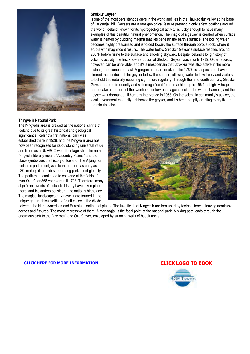

# Strokkur Geyser

is one of the most persistent geysers in the world and lies in the Haukadalur valley at the base of Laugarfjall hill. Geysers are a rare geological feature present in only a few locations around the world. Iceland, known for its hydrogeological activity, is lucky enough to have many examples of this beautiful natural phenomenon. The magic of a geyser is created when surface water is heated by bubbling magma that lies beneath the earth's surface. The boiling water becomes highly pressurized and is forced toward the surface through porous rock, where it erupts with magnificent results. The water below Strokkur Geyser's surface reaches around 250°F before rising to the surface and shooting skyward. Despite Iceland's long history of volcanic activity, the first known eruption of Strokkur Geyser wasn't until 1789. Older records, however, can be unreliable, and it's almost certain that Strokkur was also active in the more distant, undocumented past. A gargantuan earthquake in the 1780s is suspected of having cleared the conduits of the geyser below the surface, allowing water to flow freely and visitors to behold this naturally occurring sight more regularly. Through the nineteenth century, Strokkur Geyser erupted frequently and with magnificent force, reaching up to 196 feet high. A huge earthquake at the turn of the twentieth century once again blocked the water channels, and the geyser was dormant until humans intervened in 1963. On the scientific community's advice, the local government manually unblocked the geyser, and it's been happily erupting every five to ten minutes since.

# Thingvellir National Park

The Þingvellir area is praised as the national shrine of Iceland due to its great historical and geological significance. Iceland's first national park was established there in 1928, and the Þingvellir area has now been recognized for its outstanding universal value and listed as a UNESCO world heritage site. The name Þingvellir literally means "Assembly Plains," and the place symbolizes the history of Iceland. The Alþingi, or Iceland's parliament, was founded there as early as 930, making it the oldest operating parliament globally. The parliament continued to convene at the fields of river Öxará for 868 years or until 1798. Therefore, many significant events of Iceland's history have taken place there, and Icelanders consider it the nation's birthplace. The magical landscapes at Þingvellir are formed in the unique geographical setting of a rift valley in the divide



between the North-American and Eurasian continental plates. The lava fields at Þingvellir are torn apart by tectonic forces, leaving admirable gorges and fissures. The most impressive of them, Almannagjá, is the focal point of the national park. A hiking path leads through the enormous cleft to the "law rock" and Öxará river, enveloped by stunning walls of basalt rocks.

**[CLICK HERE FOR MORE INFORMATION](https://www.funseas.com/rgeforms) [CLICK LOGO TO BOOK](https://www.funseas.com/iceland-form)**

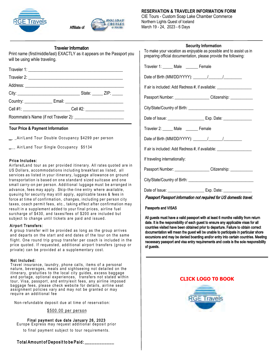



# Traveler Information

Print name (first/middle/last) EXACTLY as it appears on the Passport you will be using while traveling.

|  | State: ZIP: |  |
|--|-------------|--|
|  |             |  |
|  |             |  |

Roommate's Name (if not Traveler 2):

# **Tour Price & Payment Information**

\_ \_Air/Land Tour Double Occupancy \$4299 per person

\_\_ Air/Land Tour Single Occupancy \$5134

### Price Includes:

Airfare/Land tour as per provided itinerary. All rates quoted are in US Dollars, accommodations including breakfast as listed, all services as listed in your itinerary, luggage allowance on ground transportation is based on one standard sized suitcase and one small carry-on per person. Additional luggage must be arranged in advance, fees may apply. Skip-the-line entry where available, queuing for security may still apply, applicable taxes & fees in force at time of confirmation, changes, including per person city taxes, coach permit fees, etc., taking effect after confirmation may result in a supplement added to your final prices, airline fuel surcharge of \$430, and taxes/fees of \$200 are included but subject to change until tickets are paid and issued.

# Airport Transfers:

A group transfer will be provided as long as the group arrives and departs on the start and end dates of the tour on the same flight. One round trip group transfer per coach is included in the price quoted. If requested, additional airport transfers (group or private) can be provided at a supplementary cost.

### Not Included:

Travel insurance, laundry, phone calls, items of a personal nature, beverages, meals and sightseeing not detailed on the itinerary, gratuities to the local city guides, excess baggage and portage, optional experiences, transfers not stated within tour, Visa, passport, and entry/exit fees, any airline imposed baggage fees, please check website for details, airline seat assignment policies vary and may not be granted or may require an additional fee

Non-refundable deposit due at time of reservation:

# \$500.00 per person

Final payment due date January 26, 2023 Europe Express may request additional deposit prior to final payment subject to tour requirements.

# **RESERVATION & TRAVELER INFORMATION FORM**

CIE Tours - Custom Soap Lake Chamber Commerce Northern Lights Quest of Iceland March 19 - 24, 2023 - 6 Days

| <b>Security Information</b><br>To make your vacation as enjoyable as possible and to assist us in<br>preparing official documentation, please provide the following: |  |  |  |  |
|----------------------------------------------------------------------------------------------------------------------------------------------------------------------|--|--|--|--|
| Traveler 1: _____ Male _______ Female                                                                                                                                |  |  |  |  |
|                                                                                                                                                                      |  |  |  |  |
| If air is included: Add Redress #, if available: _______________________________                                                                                     |  |  |  |  |
| Passport Number: ______________________Citizenship: ______________                                                                                                   |  |  |  |  |
|                                                                                                                                                                      |  |  |  |  |
|                                                                                                                                                                      |  |  |  |  |
| Traveler 2: _____ Male _______ Female                                                                                                                                |  |  |  |  |
| Date of Birth (MM/DD/YYYY): \_______/ \_______/                                                                                                                      |  |  |  |  |
| If air is included: Add Redress #, if available: _______________________________                                                                                     |  |  |  |  |
| If traveling internationally:                                                                                                                                        |  |  |  |  |
| Passport Number: _____________________Citizenship: ____________                                                                                                      |  |  |  |  |
|                                                                                                                                                                      |  |  |  |  |
| Passport Passport information not required for US domestic travel.                                                                                                   |  |  |  |  |
|                                                                                                                                                                      |  |  |  |  |

Passports and VISAS

All guests must have a valid passport with at least 6 months validity from return date. It is the responsibility of each guest to ensure any applicable visas for all countries visited have been obtained prior to departure. Failure to obtain correct documentation will mean the guest will be unable to participate in particular shore excursions and may be denied boarding and/or entry into certain countries. Meeting necessary passport and visa entry requirements and costs is the sole responsibility of guests.

# **[CLICK LOGO T0 BOOK](https://www.funseas.com/iceland-form)**



Total Amount of Deposit to be Paid: